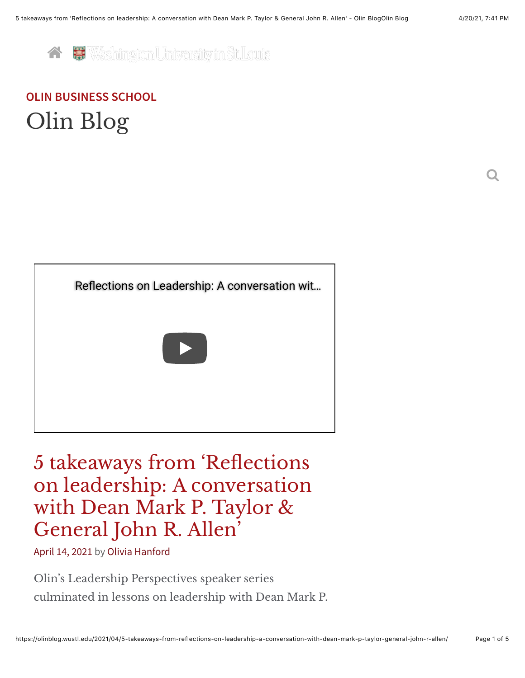$\overline{\mathsf{Q}}$ 



# **[OLIN BUSINESS SCHOOL](http://olin.wustl.edu/)** [Olin Blog](https://olinblog.wustl.edu/)



# 5 takeaways from 'Reflections on leadership: A conversation with Dean Mark P. Taylor & General John R. Allen'

[April 14, 2021](https://olinblog.wustl.edu/2021/04/5-takeaways-from-reflections-on-leadership-a-conversation-with-dean-mark-p-taylor-general-john-r-allen/) by [Olivia Hanford](https://olinblog.wustl.edu/author/olivia-hanford/)

Olin's Leadership Perspectives speaker series culminated in lessons on leadership with Dean Mark P.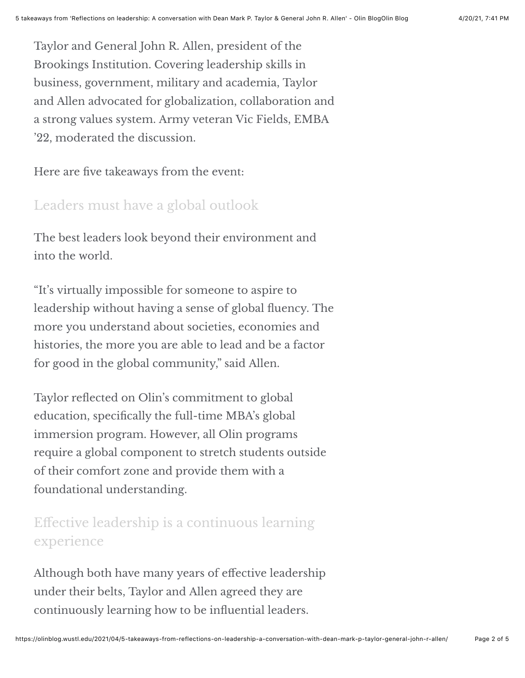Taylor and General John R. Allen, president of the Brookings Institution. Covering leadership skills in business, government, military and academia, Taylor and Allen advocated for globalization, collaboration and a strong values system. Army veteran Vic Fields, EMBA '22, moderated the discussion.

Here are five takeaways from the event:

### Leaders must have a global outlook

The best leaders look beyond their environment and into the world.

"It's virtually impossible for someone to aspire to leadership without having a sense of global fluency. The more you understand about societies, economies and histories, the more you are able to lead and be a factor for good in the global community," said Allen.

Taylor reflected on Olin's commitment to global education, specifically the full-time MBA's global immersion program. However, all Olin programs require a global component to stretch students outside of their comfort zone and provide them with a foundational understanding.

## Effective leadership is a continuous learning experience

Although both have many years of effective leadership under their belts, Taylor and Allen agreed they are continuously learning how to be influential leaders.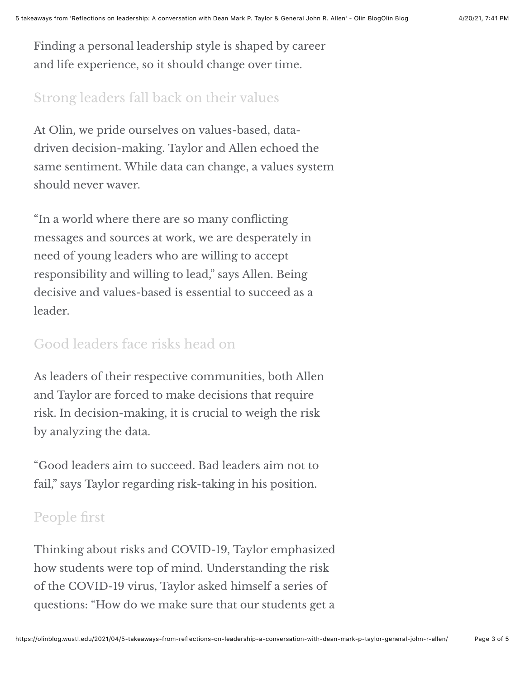Finding a personal leadership style is shaped by career and life experience, so it should change over time.

#### Strong leaders fall back on their values

At Olin, we pride ourselves on values-based, datadriven decision-making. Taylor and Allen echoed the same sentiment. While data can change, a values system should never waver.

"In a world where there are so many conflicting" messages and sources at work, we are desperately in need of young leaders who are willing to accept responsibility and willing to lead," says Allen. Being decisive and values-based is essential to succeed as a leader.

#### Good leaders face risks head on

As leaders of their respective communities, both Allen and Taylor are forced to make decisions that require risk. In decision-making, it is crucial to weigh the risk by analyzing the data.

"Good leaders aim to succeed. Bad leaders aim not to fail," says Taylor regarding risk-taking in his position.

### People first

Thinking about risks and COVID-19, Taylor emphasized how students were top of mind. Understanding the risk of the COVID-19 virus, Taylor asked himself a series of questions: "How do we make sure that our students get a